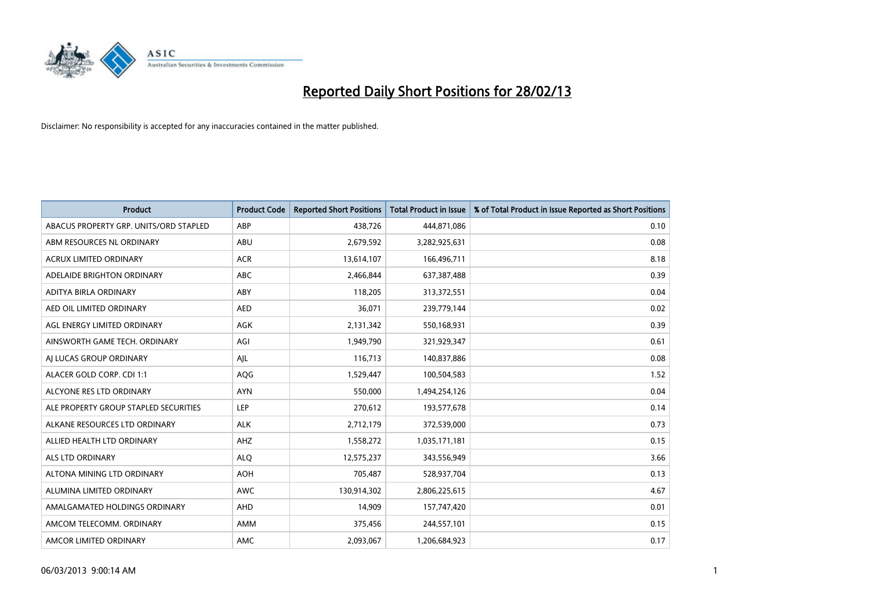

| <b>Product</b>                         | <b>Product Code</b> | <b>Reported Short Positions</b> | <b>Total Product in Issue</b> | % of Total Product in Issue Reported as Short Positions |
|----------------------------------------|---------------------|---------------------------------|-------------------------------|---------------------------------------------------------|
| ABACUS PROPERTY GRP. UNITS/ORD STAPLED | ABP                 | 438,726                         | 444,871,086                   | 0.10                                                    |
| ABM RESOURCES NL ORDINARY              | ABU                 | 2,679,592                       | 3,282,925,631                 | 0.08                                                    |
| <b>ACRUX LIMITED ORDINARY</b>          | <b>ACR</b>          | 13,614,107                      | 166,496,711                   | 8.18                                                    |
| ADELAIDE BRIGHTON ORDINARY             | <b>ABC</b>          | 2,466,844                       | 637,387,488                   | 0.39                                                    |
| ADITYA BIRLA ORDINARY                  | ABY                 | 118,205                         | 313,372,551                   | 0.04                                                    |
| AED OIL LIMITED ORDINARY               | <b>AED</b>          | 36,071                          | 239,779,144                   | 0.02                                                    |
| AGL ENERGY LIMITED ORDINARY            | AGK                 | 2,131,342                       | 550,168,931                   | 0.39                                                    |
| AINSWORTH GAME TECH. ORDINARY          | AGI                 | 1,949,790                       | 321,929,347                   | 0.61                                                    |
| AI LUCAS GROUP ORDINARY                | AJL                 | 116,713                         | 140,837,886                   | 0.08                                                    |
| ALACER GOLD CORP. CDI 1:1              | <b>AQG</b>          | 1,529,447                       | 100,504,583                   | 1.52                                                    |
| ALCYONE RES LTD ORDINARY               | <b>AYN</b>          | 550,000                         | 1,494,254,126                 | 0.04                                                    |
| ALE PROPERTY GROUP STAPLED SECURITIES  | LEP                 | 270,612                         | 193,577,678                   | 0.14                                                    |
| ALKANE RESOURCES LTD ORDINARY          | <b>ALK</b>          | 2,712,179                       | 372,539,000                   | 0.73                                                    |
| ALLIED HEALTH LTD ORDINARY             | AHZ                 | 1,558,272                       | 1,035,171,181                 | 0.15                                                    |
| ALS LTD ORDINARY                       | <b>ALQ</b>          | 12,575,237                      | 343,556,949                   | 3.66                                                    |
| ALTONA MINING LTD ORDINARY             | <b>AOH</b>          | 705,487                         | 528,937,704                   | 0.13                                                    |
| ALUMINA LIMITED ORDINARY               | <b>AWC</b>          | 130,914,302                     | 2,806,225,615                 | 4.67                                                    |
| AMALGAMATED HOLDINGS ORDINARY          | AHD                 | 14,909                          | 157,747,420                   | 0.01                                                    |
| AMCOM TELECOMM, ORDINARY               | AMM                 | 375,456                         | 244,557,101                   | 0.15                                                    |
| AMCOR LIMITED ORDINARY                 | AMC                 | 2,093,067                       | 1,206,684,923                 | 0.17                                                    |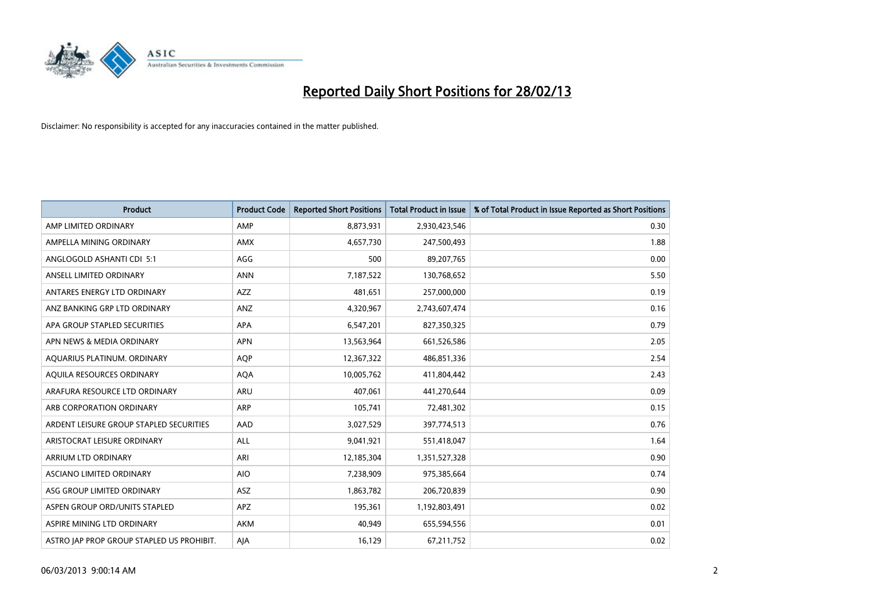

| <b>Product</b>                            | <b>Product Code</b> | <b>Reported Short Positions</b> | <b>Total Product in Issue</b> | % of Total Product in Issue Reported as Short Positions |
|-------------------------------------------|---------------------|---------------------------------|-------------------------------|---------------------------------------------------------|
| AMP LIMITED ORDINARY                      | AMP                 | 8,873,931                       | 2,930,423,546                 | 0.30                                                    |
| AMPELLA MINING ORDINARY                   | AMX                 | 4,657,730                       | 247,500,493                   | 1.88                                                    |
| ANGLOGOLD ASHANTI CDI 5:1                 | AGG                 | 500                             | 89,207,765                    | 0.00                                                    |
| ANSELL LIMITED ORDINARY                   | <b>ANN</b>          | 7,187,522                       | 130,768,652                   | 5.50                                                    |
| ANTARES ENERGY LTD ORDINARY               | AZZ                 | 481,651                         | 257,000,000                   | 0.19                                                    |
| ANZ BANKING GRP LTD ORDINARY              | ANZ                 | 4,320,967                       | 2,743,607,474                 | 0.16                                                    |
| APA GROUP STAPLED SECURITIES              | APA                 | 6,547,201                       | 827,350,325                   | 0.79                                                    |
| APN NEWS & MEDIA ORDINARY                 | <b>APN</b>          | 13,563,964                      | 661,526,586                   | 2.05                                                    |
| AQUARIUS PLATINUM. ORDINARY               | <b>AOP</b>          | 12,367,322                      | 486,851,336                   | 2.54                                                    |
| AQUILA RESOURCES ORDINARY                 | <b>AQA</b>          | 10,005,762                      | 411,804,442                   | 2.43                                                    |
| ARAFURA RESOURCE LTD ORDINARY             | ARU                 | 407,061                         | 441,270,644                   | 0.09                                                    |
| ARB CORPORATION ORDINARY                  | ARP                 | 105,741                         | 72,481,302                    | 0.15                                                    |
| ARDENT LEISURE GROUP STAPLED SECURITIES   | AAD                 | 3,027,529                       | 397,774,513                   | 0.76                                                    |
| ARISTOCRAT LEISURE ORDINARY               | <b>ALL</b>          | 9,041,921                       | 551,418,047                   | 1.64                                                    |
| ARRIUM LTD ORDINARY                       | ARI                 | 12,185,304                      | 1,351,527,328                 | 0.90                                                    |
| ASCIANO LIMITED ORDINARY                  | <b>AIO</b>          | 7,238,909                       | 975,385,664                   | 0.74                                                    |
| ASG GROUP LIMITED ORDINARY                | ASZ                 | 1,863,782                       | 206,720,839                   | 0.90                                                    |
| ASPEN GROUP ORD/UNITS STAPLED             | <b>APZ</b>          | 195,361                         | 1,192,803,491                 | 0.02                                                    |
| ASPIRE MINING LTD ORDINARY                | <b>AKM</b>          | 40,949                          | 655,594,556                   | 0.01                                                    |
| ASTRO JAP PROP GROUP STAPLED US PROHIBIT. | AJA                 | 16,129                          | 67,211,752                    | 0.02                                                    |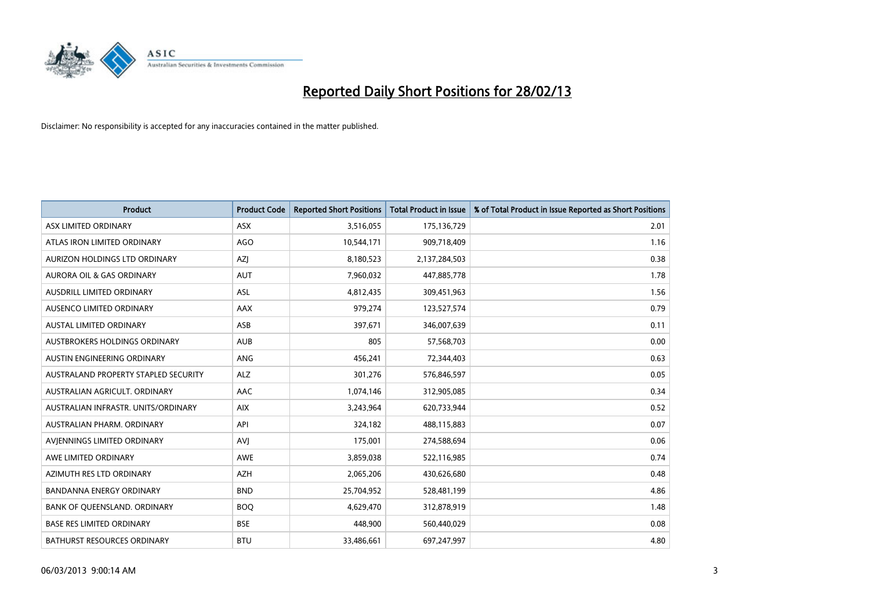

| <b>Product</b>                       | <b>Product Code</b> | <b>Reported Short Positions</b> | <b>Total Product in Issue</b> | % of Total Product in Issue Reported as Short Positions |
|--------------------------------------|---------------------|---------------------------------|-------------------------------|---------------------------------------------------------|
| ASX LIMITED ORDINARY                 | <b>ASX</b>          | 3,516,055                       | 175,136,729                   | 2.01                                                    |
| ATLAS IRON LIMITED ORDINARY          | <b>AGO</b>          | 10,544,171                      | 909,718,409                   | 1.16                                                    |
| AURIZON HOLDINGS LTD ORDINARY        | AZJ                 | 8,180,523                       | 2,137,284,503                 | 0.38                                                    |
| AURORA OIL & GAS ORDINARY            | <b>AUT</b>          | 7,960,032                       | 447,885,778                   | 1.78                                                    |
| <b>AUSDRILL LIMITED ORDINARY</b>     | ASL                 | 4,812,435                       | 309,451,963                   | 1.56                                                    |
| AUSENCO LIMITED ORDINARY             | <b>AAX</b>          | 979,274                         | 123,527,574                   | 0.79                                                    |
| <b>AUSTAL LIMITED ORDINARY</b>       | ASB                 | 397,671                         | 346,007,639                   | 0.11                                                    |
| AUSTBROKERS HOLDINGS ORDINARY        | <b>AUB</b>          | 805                             | 57,568,703                    | 0.00                                                    |
| AUSTIN ENGINEERING ORDINARY          | <b>ANG</b>          | 456,241                         | 72,344,403                    | 0.63                                                    |
| AUSTRALAND PROPERTY STAPLED SECURITY | <b>ALZ</b>          | 301,276                         | 576,846,597                   | 0.05                                                    |
| AUSTRALIAN AGRICULT. ORDINARY        | AAC                 | 1,074,146                       | 312,905,085                   | 0.34                                                    |
| AUSTRALIAN INFRASTR, UNITS/ORDINARY  | <b>AIX</b>          | 3,243,964                       | 620,733,944                   | 0.52                                                    |
| AUSTRALIAN PHARM. ORDINARY           | API                 | 324,182                         | 488,115,883                   | 0.07                                                    |
| AVIENNINGS LIMITED ORDINARY          | <b>AVI</b>          | 175,001                         | 274,588,694                   | 0.06                                                    |
| AWE LIMITED ORDINARY                 | <b>AWE</b>          | 3,859,038                       | 522,116,985                   | 0.74                                                    |
| AZIMUTH RES LTD ORDINARY             | <b>AZH</b>          | 2,065,206                       | 430,626,680                   | 0.48                                                    |
| BANDANNA ENERGY ORDINARY             | <b>BND</b>          | 25,704,952                      | 528,481,199                   | 4.86                                                    |
| BANK OF QUEENSLAND. ORDINARY         | <b>BOQ</b>          | 4,629,470                       | 312,878,919                   | 1.48                                                    |
| <b>BASE RES LIMITED ORDINARY</b>     | <b>BSE</b>          | 448,900                         | 560,440,029                   | 0.08                                                    |
| BATHURST RESOURCES ORDINARY          | <b>BTU</b>          | 33,486,661                      | 697,247,997                   | 4.80                                                    |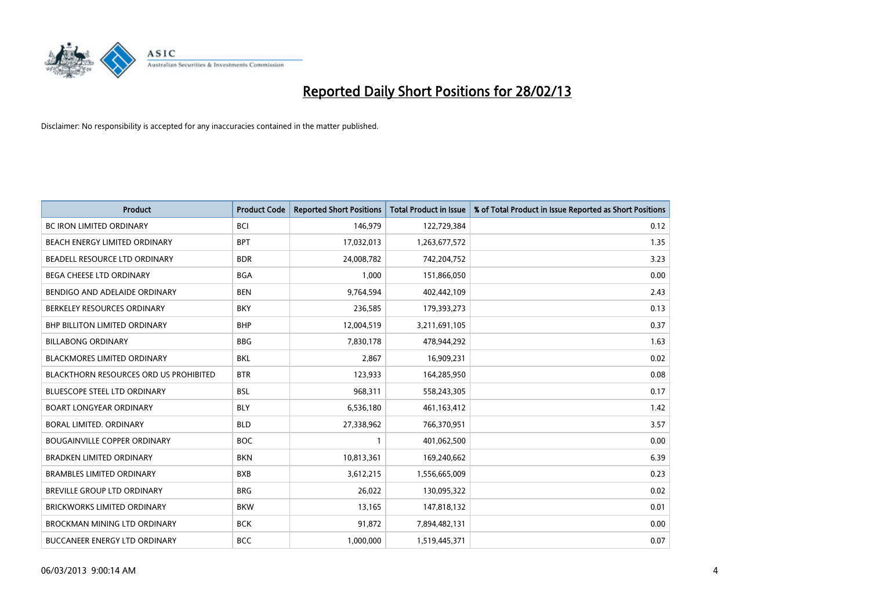

| <b>Product</b>                                | <b>Product Code</b> | <b>Reported Short Positions</b> | <b>Total Product in Issue</b> | % of Total Product in Issue Reported as Short Positions |
|-----------------------------------------------|---------------------|---------------------------------|-------------------------------|---------------------------------------------------------|
| <b>BC IRON LIMITED ORDINARY</b>               | <b>BCI</b>          | 146,979                         | 122,729,384                   | 0.12                                                    |
| BEACH ENERGY LIMITED ORDINARY                 | <b>BPT</b>          | 17,032,013                      | 1,263,677,572                 | 1.35                                                    |
| BEADELL RESOURCE LTD ORDINARY                 | <b>BDR</b>          | 24,008,782                      | 742,204,752                   | 3.23                                                    |
| BEGA CHEESE LTD ORDINARY                      | <b>BGA</b>          | 1,000                           | 151,866,050                   | 0.00                                                    |
| BENDIGO AND ADELAIDE ORDINARY                 | <b>BEN</b>          | 9,764,594                       | 402,442,109                   | 2.43                                                    |
| BERKELEY RESOURCES ORDINARY                   | <b>BKY</b>          | 236,585                         | 179,393,273                   | 0.13                                                    |
| <b>BHP BILLITON LIMITED ORDINARY</b>          | <b>BHP</b>          | 12,004,519                      | 3,211,691,105                 | 0.37                                                    |
| <b>BILLABONG ORDINARY</b>                     | <b>BBG</b>          | 7,830,178                       | 478,944,292                   | 1.63                                                    |
| <b>BLACKMORES LIMITED ORDINARY</b>            | <b>BKL</b>          | 2,867                           | 16,909,231                    | 0.02                                                    |
| <b>BLACKTHORN RESOURCES ORD US PROHIBITED</b> | <b>BTR</b>          | 123,933                         | 164,285,950                   | 0.08                                                    |
| BLUESCOPE STEEL LTD ORDINARY                  | <b>BSL</b>          | 968,311                         | 558,243,305                   | 0.17                                                    |
| <b>BOART LONGYEAR ORDINARY</b>                | <b>BLY</b>          | 6,536,180                       | 461,163,412                   | 1.42                                                    |
| BORAL LIMITED. ORDINARY                       | <b>BLD</b>          | 27,338,962                      | 766,370,951                   | 3.57                                                    |
| <b>BOUGAINVILLE COPPER ORDINARY</b>           | <b>BOC</b>          | 1                               | 401,062,500                   | 0.00                                                    |
| <b>BRADKEN LIMITED ORDINARY</b>               | <b>BKN</b>          | 10,813,361                      | 169,240,662                   | 6.39                                                    |
| <b>BRAMBLES LIMITED ORDINARY</b>              | <b>BXB</b>          | 3,612,215                       | 1,556,665,009                 | 0.23                                                    |
| BREVILLE GROUP LTD ORDINARY                   | <b>BRG</b>          | 26,022                          | 130,095,322                   | 0.02                                                    |
| <b>BRICKWORKS LIMITED ORDINARY</b>            | <b>BKW</b>          | 13,165                          | 147,818,132                   | 0.01                                                    |
| BROCKMAN MINING LTD ORDINARY                  | <b>BCK</b>          | 91,872                          | 7,894,482,131                 | 0.00                                                    |
| <b>BUCCANEER ENERGY LTD ORDINARY</b>          | <b>BCC</b>          | 1,000,000                       | 1,519,445,371                 | 0.07                                                    |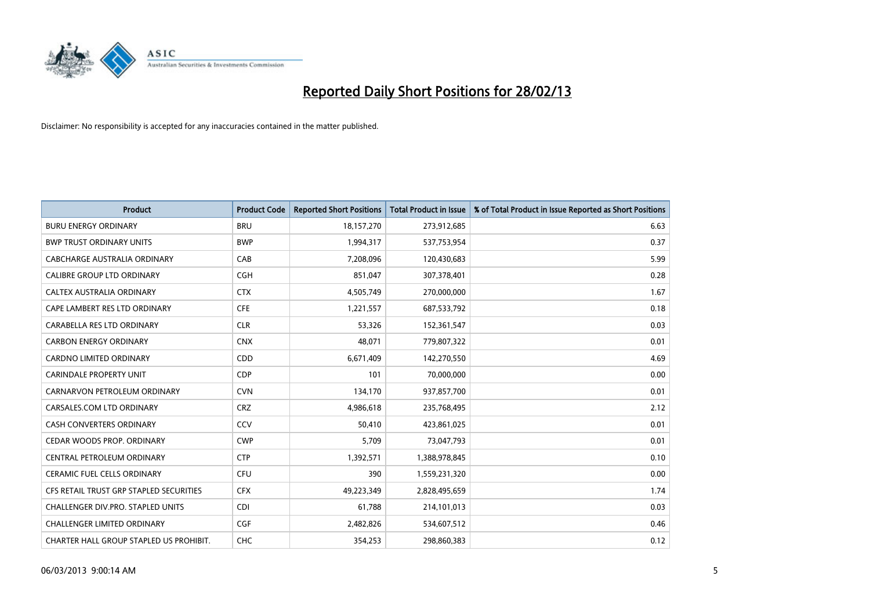

| <b>Product</b>                          | <b>Product Code</b> | <b>Reported Short Positions</b> | <b>Total Product in Issue</b> | % of Total Product in Issue Reported as Short Positions |
|-----------------------------------------|---------------------|---------------------------------|-------------------------------|---------------------------------------------------------|
| <b>BURU ENERGY ORDINARY</b>             | <b>BRU</b>          | 18,157,270                      | 273,912,685                   | 6.63                                                    |
| <b>BWP TRUST ORDINARY UNITS</b>         | <b>BWP</b>          | 1,994,317                       | 537,753,954                   | 0.37                                                    |
| CABCHARGE AUSTRALIA ORDINARY            | CAB                 | 7,208,096                       | 120,430,683                   | 5.99                                                    |
| CALIBRE GROUP LTD ORDINARY              | <b>CGH</b>          | 851,047                         | 307,378,401                   | 0.28                                                    |
| <b>CALTEX AUSTRALIA ORDINARY</b>        | <b>CTX</b>          | 4,505,749                       | 270,000,000                   | 1.67                                                    |
| CAPE LAMBERT RES LTD ORDINARY           | <b>CFE</b>          | 1,221,557                       | 687,533,792                   | 0.18                                                    |
| CARABELLA RES LTD ORDINARY              | <b>CLR</b>          | 53,326                          | 152,361,547                   | 0.03                                                    |
| <b>CARBON ENERGY ORDINARY</b>           | <b>CNX</b>          | 48,071                          | 779,807,322                   | 0.01                                                    |
| CARDNO LIMITED ORDINARY                 | CDD                 | 6,671,409                       | 142,270,550                   | 4.69                                                    |
| <b>CARINDALE PROPERTY UNIT</b>          | <b>CDP</b>          | 101                             | 70,000,000                    | 0.00                                                    |
| CARNARVON PETROLEUM ORDINARY            | <b>CVN</b>          | 134,170                         | 937,857,700                   | 0.01                                                    |
| CARSALES.COM LTD ORDINARY               | <b>CRZ</b>          | 4,986,618                       | 235,768,495                   | 2.12                                                    |
| CASH CONVERTERS ORDINARY                | CCV                 | 50,410                          | 423,861,025                   | 0.01                                                    |
| CEDAR WOODS PROP. ORDINARY              | <b>CWP</b>          | 5,709                           | 73,047,793                    | 0.01                                                    |
| CENTRAL PETROLEUM ORDINARY              | <b>CTP</b>          | 1,392,571                       | 1,388,978,845                 | 0.10                                                    |
| CERAMIC FUEL CELLS ORDINARY             | <b>CFU</b>          | 390                             | 1,559,231,320                 | 0.00                                                    |
| CFS RETAIL TRUST GRP STAPLED SECURITIES | <b>CFX</b>          | 49,223,349                      | 2,828,495,659                 | 1.74                                                    |
| CHALLENGER DIV.PRO. STAPLED UNITS       | <b>CDI</b>          | 61,788                          | 214,101,013                   | 0.03                                                    |
| <b>CHALLENGER LIMITED ORDINARY</b>      | <b>CGF</b>          | 2,482,826                       | 534,607,512                   | 0.46                                                    |
| CHARTER HALL GROUP STAPLED US PROHIBIT. | <b>CHC</b>          | 354,253                         | 298,860,383                   | 0.12                                                    |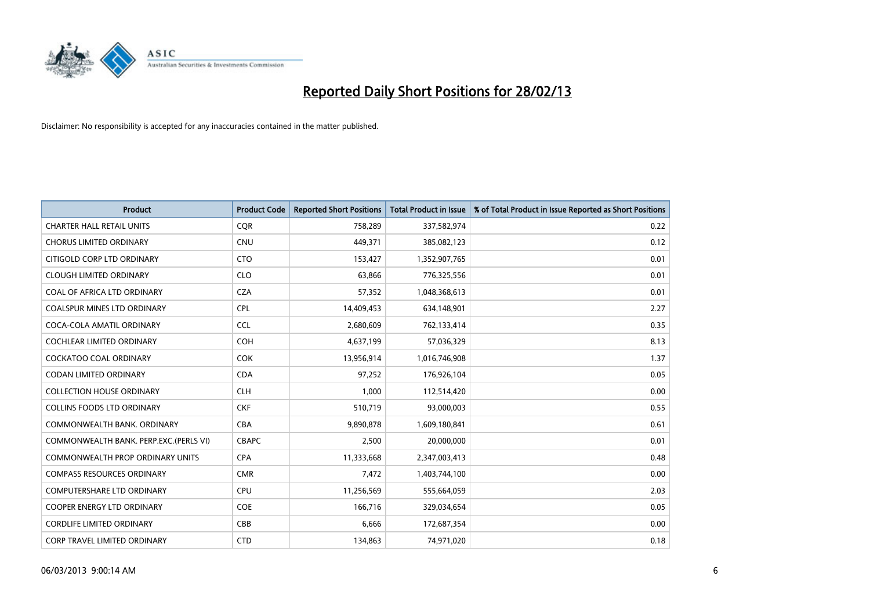

| <b>Product</b>                          | <b>Product Code</b> | <b>Reported Short Positions</b> | <b>Total Product in Issue</b> | % of Total Product in Issue Reported as Short Positions |
|-----------------------------------------|---------------------|---------------------------------|-------------------------------|---------------------------------------------------------|
| <b>CHARTER HALL RETAIL UNITS</b>        | <b>CQR</b>          | 758,289                         | 337,582,974                   | 0.22                                                    |
| <b>CHORUS LIMITED ORDINARY</b>          | CNU                 | 449,371                         | 385,082,123                   | 0.12                                                    |
| CITIGOLD CORP LTD ORDINARY              | <b>CTO</b>          | 153,427                         | 1,352,907,765                 | 0.01                                                    |
| <b>CLOUGH LIMITED ORDINARY</b>          | <b>CLO</b>          | 63,866                          | 776,325,556                   | 0.01                                                    |
| COAL OF AFRICA LTD ORDINARY             | <b>CZA</b>          | 57,352                          | 1,048,368,613                 | 0.01                                                    |
| <b>COALSPUR MINES LTD ORDINARY</b>      | <b>CPL</b>          | 14,409,453                      | 634,148,901                   | 2.27                                                    |
| COCA-COLA AMATIL ORDINARY               | <b>CCL</b>          | 2,680,609                       | 762,133,414                   | 0.35                                                    |
| COCHLEAR LIMITED ORDINARY               | <b>COH</b>          | 4,637,199                       | 57,036,329                    | 8.13                                                    |
| <b>COCKATOO COAL ORDINARY</b>           | <b>COK</b>          | 13,956,914                      | 1,016,746,908                 | 1.37                                                    |
| <b>CODAN LIMITED ORDINARY</b>           | <b>CDA</b>          | 97,252                          | 176,926,104                   | 0.05                                                    |
| <b>COLLECTION HOUSE ORDINARY</b>        | <b>CLH</b>          | 1,000                           | 112,514,420                   | 0.00                                                    |
| <b>COLLINS FOODS LTD ORDINARY</b>       | <b>CKF</b>          | 510,719                         | 93,000,003                    | 0.55                                                    |
| COMMONWEALTH BANK, ORDINARY             | <b>CBA</b>          | 9,890,878                       | 1,609,180,841                 | 0.61                                                    |
| COMMONWEALTH BANK, PERP.EXC.(PERLS VI)  | <b>CBAPC</b>        | 2,500                           | 20,000,000                    | 0.01                                                    |
| <b>COMMONWEALTH PROP ORDINARY UNITS</b> | <b>CPA</b>          | 11,333,668                      | 2,347,003,413                 | 0.48                                                    |
| <b>COMPASS RESOURCES ORDINARY</b>       | <b>CMR</b>          | 7,472                           | 1,403,744,100                 | 0.00                                                    |
| COMPUTERSHARE LTD ORDINARY              | <b>CPU</b>          | 11,256,569                      | 555,664,059                   | 2.03                                                    |
| COOPER ENERGY LTD ORDINARY              | <b>COE</b>          | 166,716                         | 329,034,654                   | 0.05                                                    |
| <b>CORDLIFE LIMITED ORDINARY</b>        | CBB                 | 6,666                           | 172,687,354                   | 0.00                                                    |
| <b>CORP TRAVEL LIMITED ORDINARY</b>     | <b>CTD</b>          | 134,863                         | 74,971,020                    | 0.18                                                    |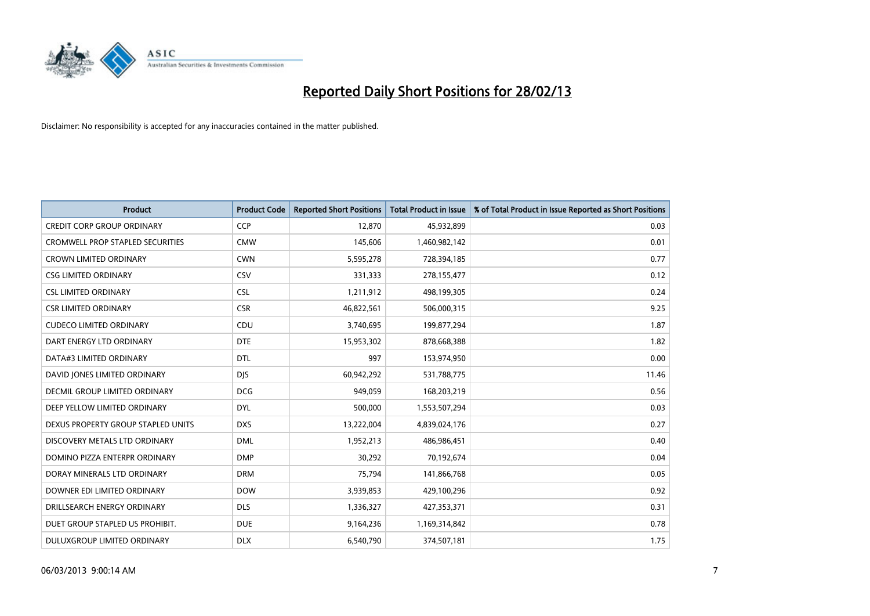

| <b>Product</b>                     | <b>Product Code</b> | <b>Reported Short Positions</b> | <b>Total Product in Issue</b> | % of Total Product in Issue Reported as Short Positions |
|------------------------------------|---------------------|---------------------------------|-------------------------------|---------------------------------------------------------|
| <b>CREDIT CORP GROUP ORDINARY</b>  | <b>CCP</b>          | 12,870                          | 45,932,899                    | 0.03                                                    |
| CROMWELL PROP STAPLED SECURITIES   | <b>CMW</b>          | 145,606                         | 1,460,982,142                 | 0.01                                                    |
| <b>CROWN LIMITED ORDINARY</b>      | <b>CWN</b>          | 5,595,278                       | 728,394,185                   | 0.77                                                    |
| <b>CSG LIMITED ORDINARY</b>        | CSV                 | 331,333                         | 278,155,477                   | 0.12                                                    |
| <b>CSL LIMITED ORDINARY</b>        | <b>CSL</b>          | 1,211,912                       | 498,199,305                   | 0.24                                                    |
| <b>CSR LIMITED ORDINARY</b>        | <b>CSR</b>          | 46,822,561                      | 506,000,315                   | 9.25                                                    |
| <b>CUDECO LIMITED ORDINARY</b>     | CDU                 | 3,740,695                       | 199,877,294                   | 1.87                                                    |
| DART ENERGY LTD ORDINARY           | <b>DTE</b>          | 15,953,302                      | 878,668,388                   | 1.82                                                    |
| DATA#3 LIMITED ORDINARY            | <b>DTL</b>          | 997                             | 153,974,950                   | 0.00                                                    |
| DAVID JONES LIMITED ORDINARY       | <b>DIS</b>          | 60,942,292                      | 531,788,775                   | 11.46                                                   |
| DECMIL GROUP LIMITED ORDINARY      | <b>DCG</b>          | 949,059                         | 168,203,219                   | 0.56                                                    |
| DEEP YELLOW LIMITED ORDINARY       | <b>DYL</b>          | 500,000                         | 1,553,507,294                 | 0.03                                                    |
| DEXUS PROPERTY GROUP STAPLED UNITS | <b>DXS</b>          | 13,222,004                      | 4,839,024,176                 | 0.27                                                    |
| DISCOVERY METALS LTD ORDINARY      | <b>DML</b>          | 1,952,213                       | 486,986,451                   | 0.40                                                    |
| DOMINO PIZZA ENTERPR ORDINARY      | <b>DMP</b>          | 30,292                          | 70,192,674                    | 0.04                                                    |
| DORAY MINERALS LTD ORDINARY        | <b>DRM</b>          | 75,794                          | 141,866,768                   | 0.05                                                    |
| DOWNER EDI LIMITED ORDINARY        | <b>DOW</b>          | 3,939,853                       | 429,100,296                   | 0.92                                                    |
| DRILLSEARCH ENERGY ORDINARY        | <b>DLS</b>          | 1,336,327                       | 427,353,371                   | 0.31                                                    |
| DUET GROUP STAPLED US PROHIBIT.    | <b>DUE</b>          | 9,164,236                       | 1,169,314,842                 | 0.78                                                    |
| DULUXGROUP LIMITED ORDINARY        | <b>DLX</b>          | 6,540,790                       | 374,507,181                   | 1.75                                                    |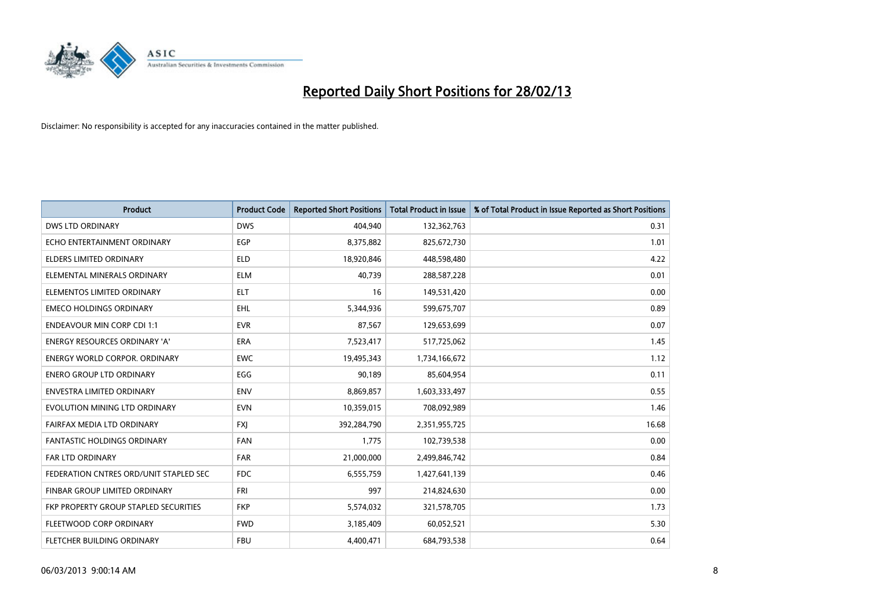

| <b>Product</b>                         | <b>Product Code</b> | <b>Reported Short Positions</b> | <b>Total Product in Issue</b> | % of Total Product in Issue Reported as Short Positions |
|----------------------------------------|---------------------|---------------------------------|-------------------------------|---------------------------------------------------------|
| <b>DWS LTD ORDINARY</b>                | <b>DWS</b>          | 404,940                         | 132,362,763                   | 0.31                                                    |
| ECHO ENTERTAINMENT ORDINARY            | <b>EGP</b>          | 8,375,882                       | 825,672,730                   | 1.01                                                    |
| ELDERS LIMITED ORDINARY                | ELD                 | 18,920,846                      | 448,598,480                   | 4.22                                                    |
| ELEMENTAL MINERALS ORDINARY            | <b>ELM</b>          | 40,739                          | 288,587,228                   | 0.01                                                    |
| ELEMENTOS LIMITED ORDINARY             | <b>ELT</b>          | 16                              | 149,531,420                   | 0.00                                                    |
| <b>EMECO HOLDINGS ORDINARY</b>         | EHL.                | 5,344,936                       | 599,675,707                   | 0.89                                                    |
| <b>ENDEAVOUR MIN CORP CDI 1:1</b>      | <b>EVR</b>          | 87,567                          | 129,653,699                   | 0.07                                                    |
| ENERGY RESOURCES ORDINARY 'A'          | <b>ERA</b>          | 7,523,417                       | 517,725,062                   | 1.45                                                    |
| <b>ENERGY WORLD CORPOR, ORDINARY</b>   | <b>EWC</b>          | 19,495,343                      | 1,734,166,672                 | 1.12                                                    |
| <b>ENERO GROUP LTD ORDINARY</b>        | EGG                 | 90,189                          | 85,604,954                    | 0.11                                                    |
| <b>ENVESTRA LIMITED ORDINARY</b>       | <b>ENV</b>          | 8,869,857                       | 1,603,333,497                 | 0.55                                                    |
| EVOLUTION MINING LTD ORDINARY          | <b>EVN</b>          | 10,359,015                      | 708,092,989                   | 1.46                                                    |
| FAIRFAX MEDIA LTD ORDINARY             | <b>FXI</b>          | 392,284,790                     | 2,351,955,725                 | 16.68                                                   |
| <b>FANTASTIC HOLDINGS ORDINARY</b>     | <b>FAN</b>          | 1,775                           | 102,739,538                   | 0.00                                                    |
| <b>FAR LTD ORDINARY</b>                | <b>FAR</b>          | 21,000,000                      | 2,499,846,742                 | 0.84                                                    |
| FEDERATION CNTRES ORD/UNIT STAPLED SEC | FDC                 | 6,555,759                       | 1,427,641,139                 | 0.46                                                    |
| FINBAR GROUP LIMITED ORDINARY          | <b>FRI</b>          | 997                             | 214,824,630                   | 0.00                                                    |
| FKP PROPERTY GROUP STAPLED SECURITIES  | <b>FKP</b>          | 5,574,032                       | 321,578,705                   | 1.73                                                    |
| FLEETWOOD CORP ORDINARY                | <b>FWD</b>          | 3,185,409                       | 60,052,521                    | 5.30                                                    |
| FLETCHER BUILDING ORDINARY             | <b>FBU</b>          | 4,400,471                       | 684,793,538                   | 0.64                                                    |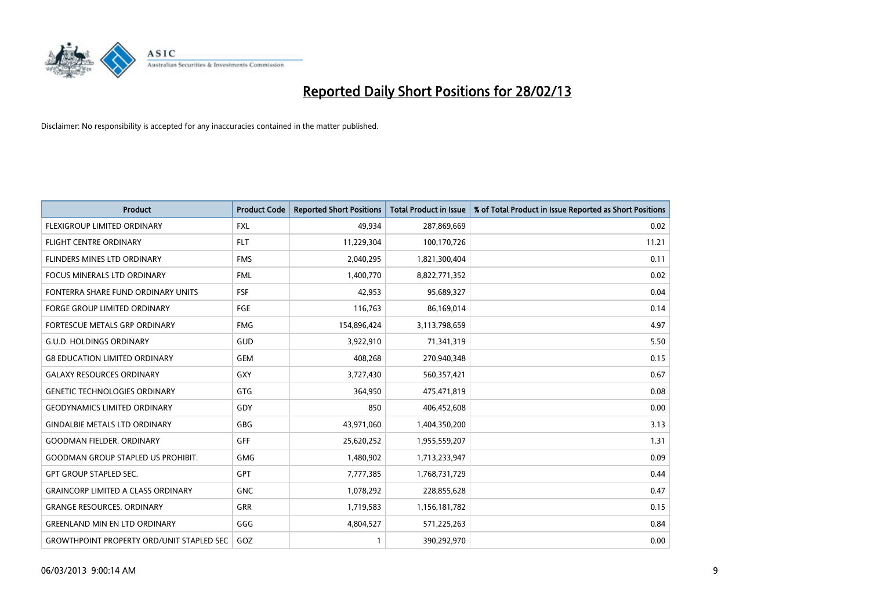

| <b>Product</b>                                   | <b>Product Code</b> | <b>Reported Short Positions</b> | <b>Total Product in Issue</b> | % of Total Product in Issue Reported as Short Positions |
|--------------------------------------------------|---------------------|---------------------------------|-------------------------------|---------------------------------------------------------|
| FLEXIGROUP LIMITED ORDINARY                      | <b>FXL</b>          | 49,934                          | 287,869,669                   | 0.02                                                    |
| FLIGHT CENTRE ORDINARY                           | <b>FLT</b>          | 11,229,304                      | 100,170,726                   | 11.21                                                   |
| FLINDERS MINES LTD ORDINARY                      | <b>FMS</b>          | 2,040,295                       | 1,821,300,404                 | 0.11                                                    |
| FOCUS MINERALS LTD ORDINARY                      | <b>FML</b>          | 1,400,770                       | 8,822,771,352                 | 0.02                                                    |
| FONTERRA SHARE FUND ORDINARY UNITS               | <b>FSF</b>          | 42,953                          | 95,689,327                    | 0.04                                                    |
| <b>FORGE GROUP LIMITED ORDINARY</b>              | FGE                 | 116,763                         | 86,169,014                    | 0.14                                                    |
| FORTESCUE METALS GRP ORDINARY                    | <b>FMG</b>          | 154,896,424                     | 3,113,798,659                 | 4.97                                                    |
| <b>G.U.D. HOLDINGS ORDINARY</b>                  | GUD                 | 3,922,910                       | 71,341,319                    | 5.50                                                    |
| <b>G8 EDUCATION LIMITED ORDINARY</b>             | <b>GEM</b>          | 408,268                         | 270,940,348                   | 0.15                                                    |
| <b>GALAXY RESOURCES ORDINARY</b>                 | <b>GXY</b>          | 3,727,430                       | 560,357,421                   | 0.67                                                    |
| <b>GENETIC TECHNOLOGIES ORDINARY</b>             | <b>GTG</b>          | 364,950                         | 475,471,819                   | 0.08                                                    |
| <b>GEODYNAMICS LIMITED ORDINARY</b>              | GDY                 | 850                             | 406,452,608                   | 0.00                                                    |
| <b>GINDALBIE METALS LTD ORDINARY</b>             | GBG                 | 43,971,060                      | 1,404,350,200                 | 3.13                                                    |
| <b>GOODMAN FIELDER, ORDINARY</b>                 | GFF                 | 25,620,252                      | 1,955,559,207                 | 1.31                                                    |
| <b>GOODMAN GROUP STAPLED US PROHIBIT.</b>        | <b>GMG</b>          | 1,480,902                       | 1,713,233,947                 | 0.09                                                    |
| GPT GROUP STAPLED SEC.                           | GPT                 | 7,777,385                       | 1,768,731,729                 | 0.44                                                    |
| <b>GRAINCORP LIMITED A CLASS ORDINARY</b>        | <b>GNC</b>          | 1,078,292                       | 228,855,628                   | 0.47                                                    |
| <b>GRANGE RESOURCES. ORDINARY</b>                | <b>GRR</b>          | 1,719,583                       | 1,156,181,782                 | 0.15                                                    |
| <b>GREENLAND MIN EN LTD ORDINARY</b>             | GGG                 | 4,804,527                       | 571,225,263                   | 0.84                                                    |
| <b>GROWTHPOINT PROPERTY ORD/UNIT STAPLED SEC</b> | GOZ                 | 1                               | 390,292,970                   | 0.00                                                    |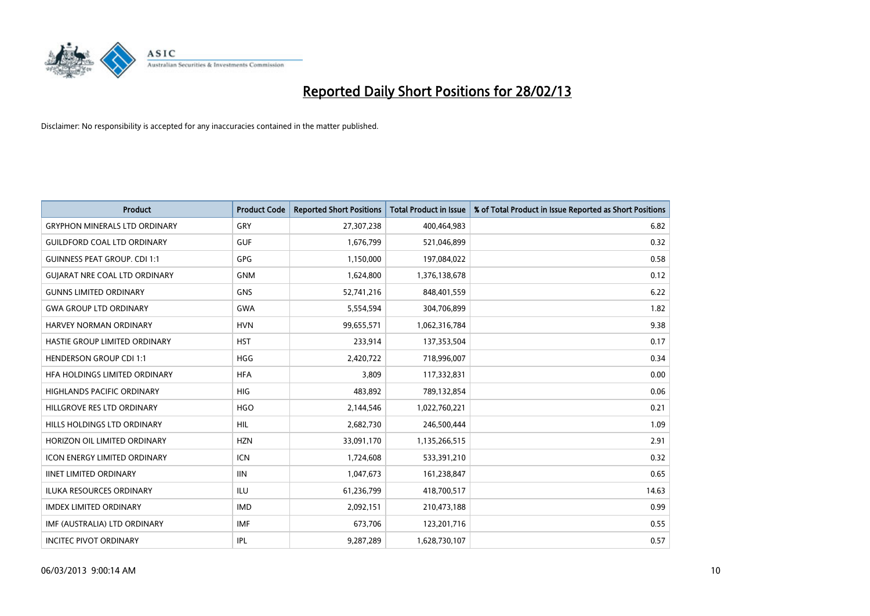

| <b>Product</b>                       | <b>Product Code</b> | <b>Reported Short Positions</b> | <b>Total Product in Issue</b> | % of Total Product in Issue Reported as Short Positions |
|--------------------------------------|---------------------|---------------------------------|-------------------------------|---------------------------------------------------------|
| <b>GRYPHON MINERALS LTD ORDINARY</b> | GRY                 | 27,307,238                      | 400,464,983                   | 6.82                                                    |
| <b>GUILDFORD COAL LTD ORDINARY</b>   | <b>GUF</b>          | 1,676,799                       | 521,046,899                   | 0.32                                                    |
| <b>GUINNESS PEAT GROUP. CDI 1:1</b>  | <b>GPG</b>          | 1,150,000                       | 197,084,022                   | 0.58                                                    |
| <b>GUIARAT NRE COAL LTD ORDINARY</b> | <b>GNM</b>          | 1,624,800                       | 1,376,138,678                 | 0.12                                                    |
| <b>GUNNS LIMITED ORDINARY</b>        | <b>GNS</b>          | 52,741,216                      | 848,401,559                   | 6.22                                                    |
| <b>GWA GROUP LTD ORDINARY</b>        | <b>GWA</b>          | 5,554,594                       | 304,706,899                   | 1.82                                                    |
| HARVEY NORMAN ORDINARY               | <b>HVN</b>          | 99,655,571                      | 1,062,316,784                 | 9.38                                                    |
| HASTIE GROUP LIMITED ORDINARY        | <b>HST</b>          | 233,914                         | 137,353,504                   | 0.17                                                    |
| <b>HENDERSON GROUP CDI 1:1</b>       | <b>HGG</b>          | 2,420,722                       | 718,996,007                   | 0.34                                                    |
| HFA HOLDINGS LIMITED ORDINARY        | <b>HFA</b>          | 3,809                           | 117,332,831                   | 0.00                                                    |
| HIGHLANDS PACIFIC ORDINARY           | <b>HIG</b>          | 483,892                         | 789,132,854                   | 0.06                                                    |
| HILLGROVE RES LTD ORDINARY           | <b>HGO</b>          | 2,144,546                       | 1,022,760,221                 | 0.21                                                    |
| HILLS HOLDINGS LTD ORDINARY          | <b>HIL</b>          | 2,682,730                       | 246,500,444                   | 1.09                                                    |
| HORIZON OIL LIMITED ORDINARY         | <b>HZN</b>          | 33,091,170                      | 1,135,266,515                 | 2.91                                                    |
| <b>ICON ENERGY LIMITED ORDINARY</b>  | <b>ICN</b>          | 1,724,608                       | 533,391,210                   | 0.32                                                    |
| <b>IINET LIMITED ORDINARY</b>        | <b>IIN</b>          | 1,047,673                       | 161,238,847                   | 0.65                                                    |
| ILUKA RESOURCES ORDINARY             | ILU                 | 61,236,799                      | 418,700,517                   | 14.63                                                   |
| <b>IMDEX LIMITED ORDINARY</b>        | <b>IMD</b>          | 2,092,151                       | 210,473,188                   | 0.99                                                    |
| IMF (AUSTRALIA) LTD ORDINARY         | <b>IMF</b>          | 673,706                         | 123,201,716                   | 0.55                                                    |
| <b>INCITEC PIVOT ORDINARY</b>        | IPL                 | 9,287,289                       | 1,628,730,107                 | 0.57                                                    |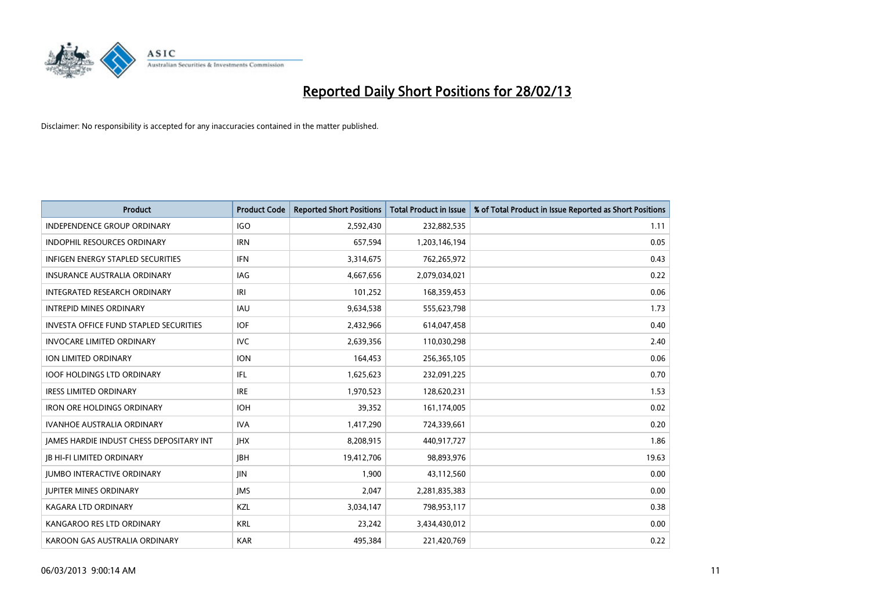

| <b>Product</b>                           | <b>Product Code</b> | <b>Reported Short Positions</b> | <b>Total Product in Issue</b> | % of Total Product in Issue Reported as Short Positions |
|------------------------------------------|---------------------|---------------------------------|-------------------------------|---------------------------------------------------------|
| <b>INDEPENDENCE GROUP ORDINARY</b>       | <b>IGO</b>          | 2,592,430                       | 232,882,535                   | 1.11                                                    |
| INDOPHIL RESOURCES ORDINARY              | <b>IRN</b>          | 657,594                         | 1,203,146,194                 | 0.05                                                    |
| <b>INFIGEN ENERGY STAPLED SECURITIES</b> | <b>IFN</b>          | 3,314,675                       | 762,265,972                   | 0.43                                                    |
| <b>INSURANCE AUSTRALIA ORDINARY</b>      | IAG                 | 4,667,656                       | 2,079,034,021                 | 0.22                                                    |
| INTEGRATED RESEARCH ORDINARY             | IRI                 | 101,252                         | 168,359,453                   | 0.06                                                    |
| <b>INTREPID MINES ORDINARY</b>           | <b>IAU</b>          | 9,634,538                       | 555,623,798                   | 1.73                                                    |
| INVESTA OFFICE FUND STAPLED SECURITIES   | <b>IOF</b>          | 2,432,966                       | 614,047,458                   | 0.40                                                    |
| <b>INVOCARE LIMITED ORDINARY</b>         | <b>IVC</b>          | 2,639,356                       | 110,030,298                   | 2.40                                                    |
| <b>ION LIMITED ORDINARY</b>              | <b>ION</b>          | 164,453                         | 256,365,105                   | 0.06                                                    |
| <b>IOOF HOLDINGS LTD ORDINARY</b>        | IFL                 | 1,625,623                       | 232,091,225                   | 0.70                                                    |
| <b>IRESS LIMITED ORDINARY</b>            | <b>IRE</b>          | 1,970,523                       | 128,620,231                   | 1.53                                                    |
| <b>IRON ORE HOLDINGS ORDINARY</b>        | <b>IOH</b>          | 39,352                          | 161,174,005                   | 0.02                                                    |
| <b>IVANHOE AUSTRALIA ORDINARY</b>        | <b>IVA</b>          | 1,417,290                       | 724,339,661                   | 0.20                                                    |
| JAMES HARDIE INDUST CHESS DEPOSITARY INT | <b>JHX</b>          | 8,208,915                       | 440,917,727                   | 1.86                                                    |
| <b>JB HI-FI LIMITED ORDINARY</b>         | <b>IBH</b>          | 19,412,706                      | 98,893,976                    | 19.63                                                   |
| <b>JUMBO INTERACTIVE ORDINARY</b>        | <b>JIN</b>          | 1,900                           | 43,112,560                    | 0.00                                                    |
| <b>JUPITER MINES ORDINARY</b>            | <b>IMS</b>          | 2,047                           | 2,281,835,383                 | 0.00                                                    |
| <b>KAGARA LTD ORDINARY</b>               | KZL                 | 3,034,147                       | 798,953,117                   | 0.38                                                    |
| KANGAROO RES LTD ORDINARY                | <b>KRL</b>          | 23,242                          | 3,434,430,012                 | 0.00                                                    |
| KAROON GAS AUSTRALIA ORDINARY            | <b>KAR</b>          | 495,384                         | 221,420,769                   | 0.22                                                    |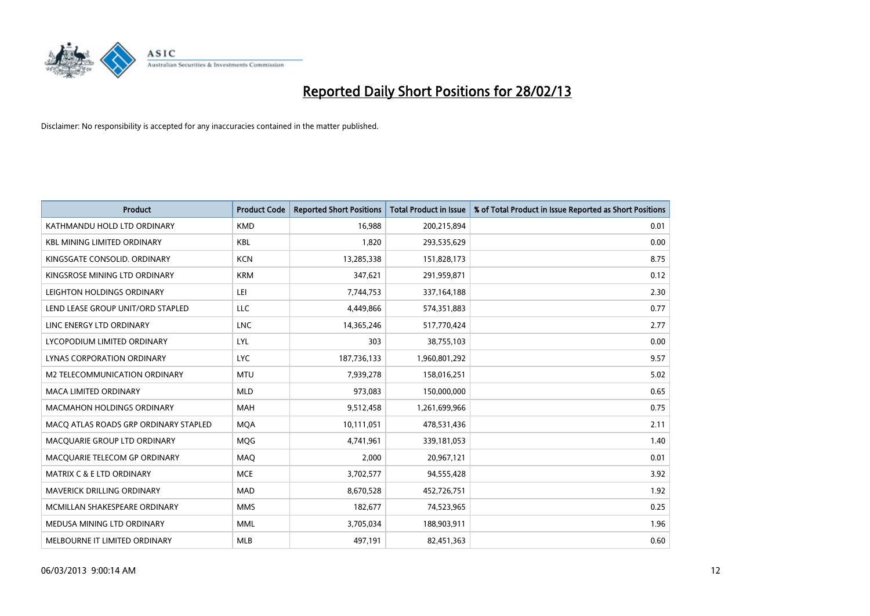

| <b>Product</b>                        | <b>Product Code</b> | <b>Reported Short Positions</b> | <b>Total Product in Issue</b> | % of Total Product in Issue Reported as Short Positions |
|---------------------------------------|---------------------|---------------------------------|-------------------------------|---------------------------------------------------------|
| KATHMANDU HOLD LTD ORDINARY           | <b>KMD</b>          | 16,988                          | 200,215,894                   | 0.01                                                    |
| <b>KBL MINING LIMITED ORDINARY</b>    | <b>KBL</b>          | 1,820                           | 293,535,629                   | 0.00                                                    |
| KINGSGATE CONSOLID. ORDINARY          | <b>KCN</b>          | 13,285,338                      | 151,828,173                   | 8.75                                                    |
| KINGSROSE MINING LTD ORDINARY         | <b>KRM</b>          | 347,621                         | 291,959,871                   | 0.12                                                    |
| LEIGHTON HOLDINGS ORDINARY            | LEI                 | 7,744,753                       | 337,164,188                   | 2.30                                                    |
| LEND LEASE GROUP UNIT/ORD STAPLED     | LLC                 | 4,449,866                       | 574,351,883                   | 0.77                                                    |
| LINC ENERGY LTD ORDINARY              | <b>LNC</b>          | 14,365,246                      | 517,770,424                   | 2.77                                                    |
| LYCOPODIUM LIMITED ORDINARY           | <b>LYL</b>          | 303                             | 38,755,103                    | 0.00                                                    |
| LYNAS CORPORATION ORDINARY            | <b>LYC</b>          | 187,736,133                     | 1,960,801,292                 | 9.57                                                    |
| <b>M2 TELECOMMUNICATION ORDINARY</b>  | <b>MTU</b>          | 7,939,278                       | 158,016,251                   | 5.02                                                    |
| MACA LIMITED ORDINARY                 | <b>MLD</b>          | 973,083                         | 150,000,000                   | 0.65                                                    |
| MACMAHON HOLDINGS ORDINARY            | MAH                 | 9,512,458                       | 1,261,699,966                 | 0.75                                                    |
| MACO ATLAS ROADS GRP ORDINARY STAPLED | <b>MQA</b>          | 10,111,051                      | 478,531,436                   | 2.11                                                    |
| MACQUARIE GROUP LTD ORDINARY          | <b>MQG</b>          | 4,741,961                       | 339,181,053                   | 1.40                                                    |
| MACQUARIE TELECOM GP ORDINARY         | MAQ                 | 2,000                           | 20,967,121                    | 0.01                                                    |
| <b>MATRIX C &amp; E LTD ORDINARY</b>  | <b>MCE</b>          | 3,702,577                       | 94,555,428                    | 3.92                                                    |
| <b>MAVERICK DRILLING ORDINARY</b>     | <b>MAD</b>          | 8,670,528                       | 452,726,751                   | 1.92                                                    |
| MCMILLAN SHAKESPEARE ORDINARY         | <b>MMS</b>          | 182,677                         | 74,523,965                    | 0.25                                                    |
| MEDUSA MINING LTD ORDINARY            | <b>MML</b>          | 3,705,034                       | 188,903,911                   | 1.96                                                    |
| MELBOURNE IT LIMITED ORDINARY         | <b>MLB</b>          | 497,191                         | 82,451,363                    | 0.60                                                    |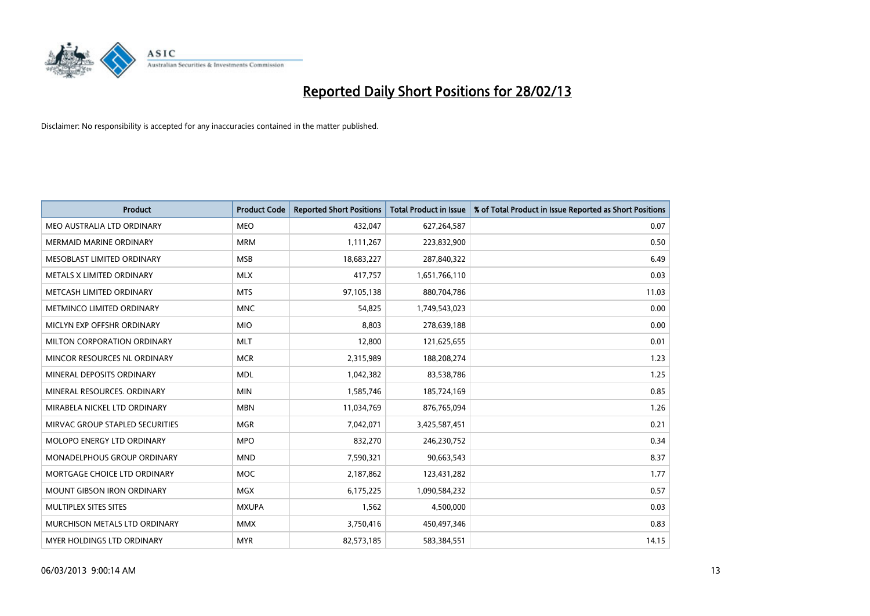

| Product                           | <b>Product Code</b> | <b>Reported Short Positions</b> | <b>Total Product in Issue</b> | % of Total Product in Issue Reported as Short Positions |
|-----------------------------------|---------------------|---------------------------------|-------------------------------|---------------------------------------------------------|
| MEO AUSTRALIA LTD ORDINARY        | MEO                 | 432,047                         | 627,264,587                   | 0.07                                                    |
| <b>MERMAID MARINE ORDINARY</b>    | <b>MRM</b>          | 1,111,267                       | 223,832,900                   | 0.50                                                    |
| MESOBLAST LIMITED ORDINARY        | <b>MSB</b>          | 18,683,227                      | 287,840,322                   | 6.49                                                    |
| METALS X LIMITED ORDINARY         | <b>MLX</b>          | 417,757                         | 1,651,766,110                 | 0.03                                                    |
| METCASH LIMITED ORDINARY          | <b>MTS</b>          | 97,105,138                      | 880,704,786                   | 11.03                                                   |
| METMINCO LIMITED ORDINARY         | <b>MNC</b>          | 54,825                          | 1,749,543,023                 | 0.00                                                    |
| MICLYN EXP OFFSHR ORDINARY        | <b>MIO</b>          | 8,803                           | 278,639,188                   | 0.00                                                    |
| MILTON CORPORATION ORDINARY       | <b>MLT</b>          | 12,800                          | 121,625,655                   | 0.01                                                    |
| MINCOR RESOURCES NL ORDINARY      | <b>MCR</b>          | 2,315,989                       | 188,208,274                   | 1.23                                                    |
| MINERAL DEPOSITS ORDINARY         | <b>MDL</b>          | 1,042,382                       | 83,538,786                    | 1.25                                                    |
| MINERAL RESOURCES. ORDINARY       | <b>MIN</b>          | 1,585,746                       | 185,724,169                   | 0.85                                                    |
| MIRABELA NICKEL LTD ORDINARY      | <b>MBN</b>          | 11,034,769                      | 876,765,094                   | 1.26                                                    |
| MIRVAC GROUP STAPLED SECURITIES   | <b>MGR</b>          | 7,042,071                       | 3,425,587,451                 | 0.21                                                    |
| MOLOPO ENERGY LTD ORDINARY        | <b>MPO</b>          | 832,270                         | 246,230,752                   | 0.34                                                    |
| MONADELPHOUS GROUP ORDINARY       | <b>MND</b>          | 7,590,321                       | 90,663,543                    | 8.37                                                    |
| MORTGAGE CHOICE LTD ORDINARY      | <b>MOC</b>          | 2,187,862                       | 123,431,282                   | 1.77                                                    |
| <b>MOUNT GIBSON IRON ORDINARY</b> | <b>MGX</b>          | 6,175,225                       | 1,090,584,232                 | 0.57                                                    |
| MULTIPLEX SITES SITES             | <b>MXUPA</b>        | 1,562                           | 4,500,000                     | 0.03                                                    |
| MURCHISON METALS LTD ORDINARY     | <b>MMX</b>          | 3,750,416                       | 450,497,346                   | 0.83                                                    |
| <b>MYER HOLDINGS LTD ORDINARY</b> | <b>MYR</b>          | 82,573,185                      | 583,384,551                   | 14.15                                                   |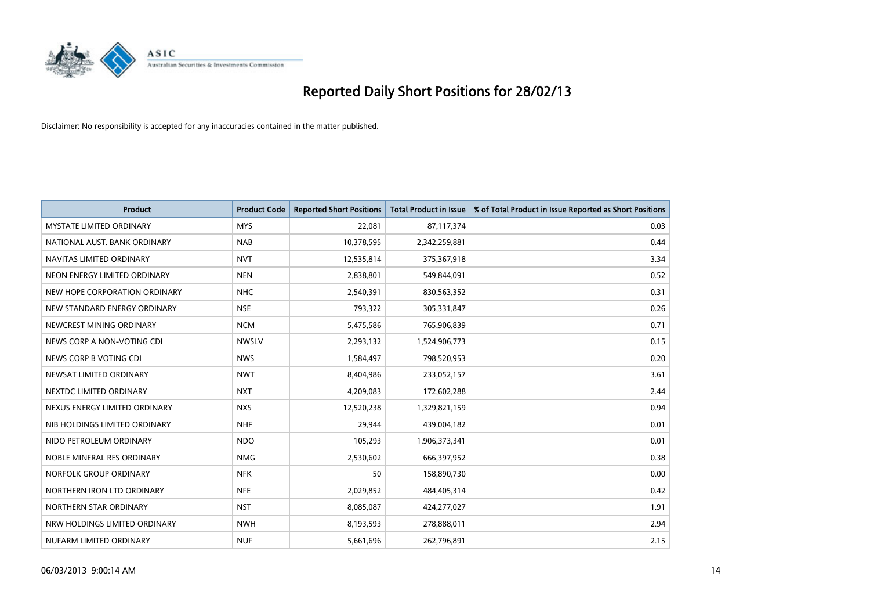

| <b>Product</b>                  | <b>Product Code</b> | <b>Reported Short Positions</b> | <b>Total Product in Issue</b> | % of Total Product in Issue Reported as Short Positions |
|---------------------------------|---------------------|---------------------------------|-------------------------------|---------------------------------------------------------|
| <b>MYSTATE LIMITED ORDINARY</b> | <b>MYS</b>          | 22,081                          | 87,117,374                    | 0.03                                                    |
| NATIONAL AUST. BANK ORDINARY    | <b>NAB</b>          | 10,378,595                      | 2,342,259,881                 | 0.44                                                    |
| NAVITAS LIMITED ORDINARY        | <b>NVT</b>          | 12,535,814                      | 375,367,918                   | 3.34                                                    |
| NEON ENERGY LIMITED ORDINARY    | <b>NEN</b>          | 2,838,801                       | 549,844,091                   | 0.52                                                    |
| NEW HOPE CORPORATION ORDINARY   | <b>NHC</b>          | 2,540,391                       | 830,563,352                   | 0.31                                                    |
| NEW STANDARD ENERGY ORDINARY    | <b>NSE</b>          | 793,322                         | 305,331,847                   | 0.26                                                    |
| NEWCREST MINING ORDINARY        | <b>NCM</b>          | 5,475,586                       | 765,906,839                   | 0.71                                                    |
| NEWS CORP A NON-VOTING CDI      | <b>NWSLV</b>        | 2,293,132                       | 1,524,906,773                 | 0.15                                                    |
| NEWS CORP B VOTING CDI          | <b>NWS</b>          | 1,584,497                       | 798,520,953                   | 0.20                                                    |
| NEWSAT LIMITED ORDINARY         | <b>NWT</b>          | 8,404,986                       | 233,052,157                   | 3.61                                                    |
| NEXTDC LIMITED ORDINARY         | <b>NXT</b>          | 4,209,083                       | 172,602,288                   | 2.44                                                    |
| NEXUS ENERGY LIMITED ORDINARY   | <b>NXS</b>          | 12,520,238                      | 1,329,821,159                 | 0.94                                                    |
| NIB HOLDINGS LIMITED ORDINARY   | <b>NHF</b>          | 29,944                          | 439,004,182                   | 0.01                                                    |
| NIDO PETROLEUM ORDINARY         | <b>NDO</b>          | 105,293                         | 1,906,373,341                 | 0.01                                                    |
| NOBLE MINERAL RES ORDINARY      | <b>NMG</b>          | 2,530,602                       | 666,397,952                   | 0.38                                                    |
| NORFOLK GROUP ORDINARY          | <b>NFK</b>          | 50                              | 158,890,730                   | 0.00                                                    |
| NORTHERN IRON LTD ORDINARY      | <b>NFE</b>          | 2,029,852                       | 484,405,314                   | 0.42                                                    |
| NORTHERN STAR ORDINARY          | <b>NST</b>          | 8,085,087                       | 424,277,027                   | 1.91                                                    |
| NRW HOLDINGS LIMITED ORDINARY   | <b>NWH</b>          | 8,193,593                       | 278,888,011                   | 2.94                                                    |
| NUFARM LIMITED ORDINARY         | <b>NUF</b>          | 5,661,696                       | 262,796,891                   | 2.15                                                    |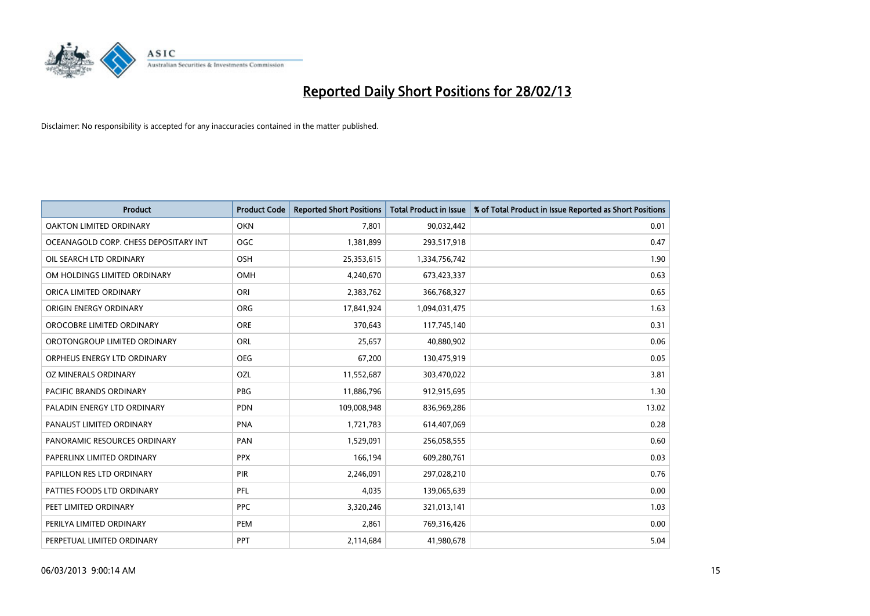

| <b>Product</b>                        | <b>Product Code</b> | <b>Reported Short Positions</b> | <b>Total Product in Issue</b> | % of Total Product in Issue Reported as Short Positions |
|---------------------------------------|---------------------|---------------------------------|-------------------------------|---------------------------------------------------------|
| OAKTON LIMITED ORDINARY               | <b>OKN</b>          | 7,801                           | 90,032,442                    | 0.01                                                    |
| OCEANAGOLD CORP. CHESS DEPOSITARY INT | <b>OGC</b>          | 1,381,899                       | 293,517,918                   | 0.47                                                    |
| OIL SEARCH LTD ORDINARY               | OSH                 | 25,353,615                      | 1,334,756,742                 | 1.90                                                    |
| OM HOLDINGS LIMITED ORDINARY          | <b>OMH</b>          | 4,240,670                       | 673,423,337                   | 0.63                                                    |
| ORICA LIMITED ORDINARY                | ORI                 | 2,383,762                       | 366,768,327                   | 0.65                                                    |
| ORIGIN ENERGY ORDINARY                | <b>ORG</b>          | 17,841,924                      | 1,094,031,475                 | 1.63                                                    |
| OROCOBRE LIMITED ORDINARY             | <b>ORE</b>          | 370,643                         | 117,745,140                   | 0.31                                                    |
| OROTONGROUP LIMITED ORDINARY          | ORL                 | 25,657                          | 40,880,902                    | 0.06                                                    |
| ORPHEUS ENERGY LTD ORDINARY           | <b>OEG</b>          | 67,200                          | 130,475,919                   | 0.05                                                    |
| <b>OZ MINERALS ORDINARY</b>           | OZL                 | 11,552,687                      | 303,470,022                   | 3.81                                                    |
| PACIFIC BRANDS ORDINARY               | <b>PBG</b>          | 11,886,796                      | 912,915,695                   | 1.30                                                    |
| PALADIN ENERGY LTD ORDINARY           | <b>PDN</b>          | 109,008,948                     | 836,969,286                   | 13.02                                                   |
| PANAUST LIMITED ORDINARY              | <b>PNA</b>          | 1,721,783                       | 614,407,069                   | 0.28                                                    |
| PANORAMIC RESOURCES ORDINARY          | PAN                 | 1,529,091                       | 256,058,555                   | 0.60                                                    |
| PAPERLINX LIMITED ORDINARY            | <b>PPX</b>          | 166,194                         | 609,280,761                   | 0.03                                                    |
| PAPILLON RES LTD ORDINARY             | PIR                 | 2,246,091                       | 297,028,210                   | 0.76                                                    |
| PATTIES FOODS LTD ORDINARY            | PFL                 | 4,035                           | 139,065,639                   | 0.00                                                    |
| PEET LIMITED ORDINARY                 | <b>PPC</b>          | 3,320,246                       | 321,013,141                   | 1.03                                                    |
| PERILYA LIMITED ORDINARY              | PEM                 | 2,861                           | 769,316,426                   | 0.00                                                    |
| PERPETUAL LIMITED ORDINARY            | <b>PPT</b>          | 2,114,684                       | 41,980,678                    | 5.04                                                    |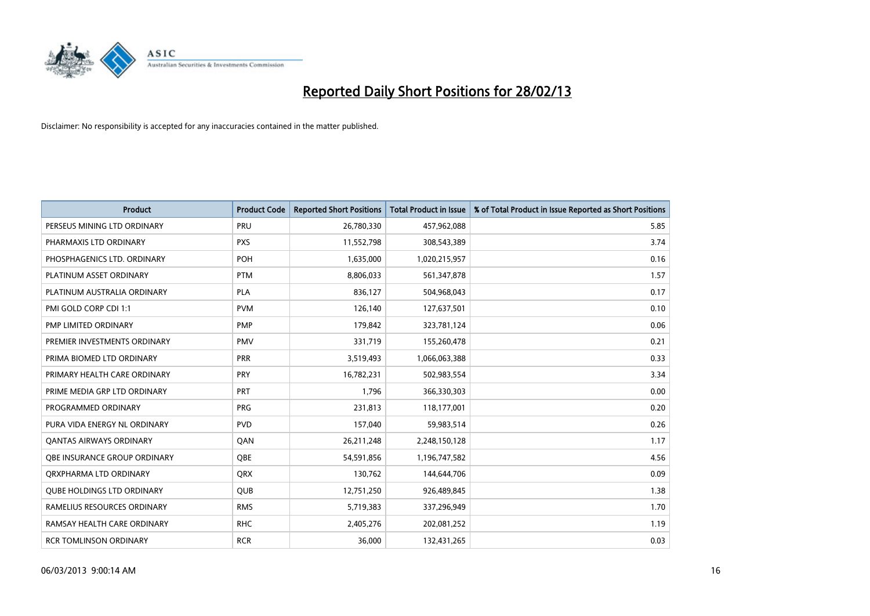

| <b>Product</b>                    | <b>Product Code</b> | <b>Reported Short Positions</b> | <b>Total Product in Issue</b> | % of Total Product in Issue Reported as Short Positions |
|-----------------------------------|---------------------|---------------------------------|-------------------------------|---------------------------------------------------------|
| PERSEUS MINING LTD ORDINARY       | PRU                 | 26,780,330                      | 457,962,088                   | 5.85                                                    |
| PHARMAXIS LTD ORDINARY            | <b>PXS</b>          | 11,552,798                      | 308,543,389                   | 3.74                                                    |
| PHOSPHAGENICS LTD. ORDINARY       | <b>POH</b>          | 1,635,000                       | 1,020,215,957                 | 0.16                                                    |
| PLATINUM ASSET ORDINARY           | <b>PTM</b>          | 8,806,033                       | 561,347,878                   | 1.57                                                    |
| PLATINUM AUSTRALIA ORDINARY       | <b>PLA</b>          | 836,127                         | 504,968,043                   | 0.17                                                    |
| PMI GOLD CORP CDI 1:1             | <b>PVM</b>          | 126,140                         | 127,637,501                   | 0.10                                                    |
| PMP LIMITED ORDINARY              | <b>PMP</b>          | 179,842                         | 323,781,124                   | 0.06                                                    |
| PREMIER INVESTMENTS ORDINARY      | PMV                 | 331,719                         | 155,260,478                   | 0.21                                                    |
| PRIMA BIOMED LTD ORDINARY         | <b>PRR</b>          | 3,519,493                       | 1,066,063,388                 | 0.33                                                    |
| PRIMARY HEALTH CARE ORDINARY      | <b>PRY</b>          | 16,782,231                      | 502,983,554                   | 3.34                                                    |
| PRIME MEDIA GRP LTD ORDINARY      | <b>PRT</b>          | 1,796                           | 366,330,303                   | 0.00                                                    |
| PROGRAMMED ORDINARY               | <b>PRG</b>          | 231,813                         | 118,177,001                   | 0.20                                                    |
| PURA VIDA ENERGY NL ORDINARY      | <b>PVD</b>          | 157,040                         | 59,983,514                    | 0.26                                                    |
| <b>QANTAS AIRWAYS ORDINARY</b>    | QAN                 | 26,211,248                      | 2,248,150,128                 | 1.17                                                    |
| OBE INSURANCE GROUP ORDINARY      | <b>OBE</b>          | 54,591,856                      | 1,196,747,582                 | 4.56                                                    |
| ORXPHARMA LTD ORDINARY            | <b>QRX</b>          | 130,762                         | 144,644,706                   | 0.09                                                    |
| <b>QUBE HOLDINGS LTD ORDINARY</b> | QUB                 | 12,751,250                      | 926,489,845                   | 1.38                                                    |
| RAMELIUS RESOURCES ORDINARY       | <b>RMS</b>          | 5,719,383                       | 337,296,949                   | 1.70                                                    |
| RAMSAY HEALTH CARE ORDINARY       | <b>RHC</b>          | 2,405,276                       | 202,081,252                   | 1.19                                                    |
| <b>RCR TOMLINSON ORDINARY</b>     | <b>RCR</b>          | 36,000                          | 132,431,265                   | 0.03                                                    |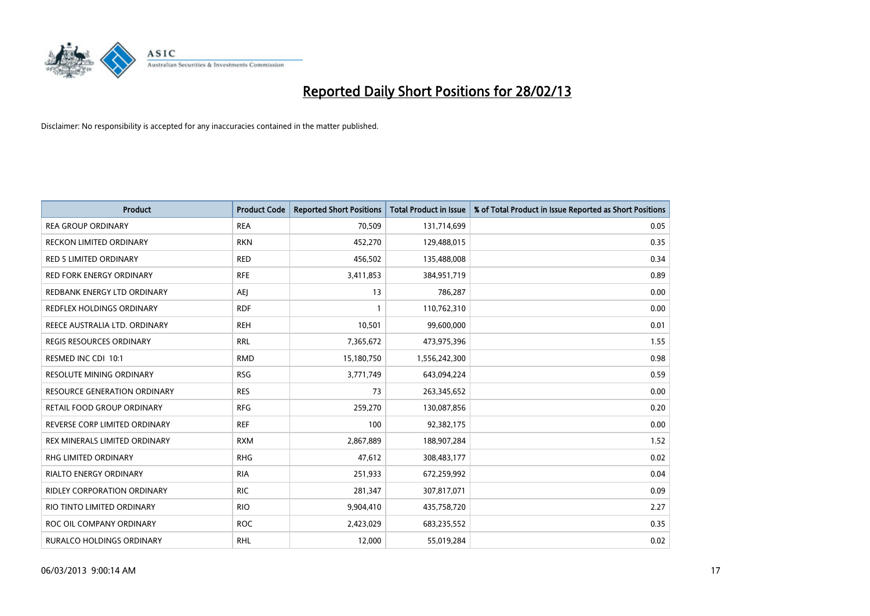

| <b>Product</b>                      | <b>Product Code</b> | <b>Reported Short Positions</b> | <b>Total Product in Issue</b> | % of Total Product in Issue Reported as Short Positions |
|-------------------------------------|---------------------|---------------------------------|-------------------------------|---------------------------------------------------------|
| <b>REA GROUP ORDINARY</b>           | <b>REA</b>          | 70,509                          | 131,714,699                   | 0.05                                                    |
| RECKON LIMITED ORDINARY             | <b>RKN</b>          | 452,270                         | 129,488,015                   | 0.35                                                    |
| <b>RED 5 LIMITED ORDINARY</b>       | <b>RED</b>          | 456,502                         | 135,488,008                   | 0.34                                                    |
| <b>RED FORK ENERGY ORDINARY</b>     | <b>RFE</b>          | 3,411,853                       | 384,951,719                   | 0.89                                                    |
| REDBANK ENERGY LTD ORDINARY         | <b>AEI</b>          | 13                              | 786,287                       | 0.00                                                    |
| <b>REDFLEX HOLDINGS ORDINARY</b>    | <b>RDF</b>          | 1                               | 110,762,310                   | 0.00                                                    |
| REECE AUSTRALIA LTD. ORDINARY       | <b>REH</b>          | 10,501                          | 99,600,000                    | 0.01                                                    |
| REGIS RESOURCES ORDINARY            | <b>RRL</b>          | 7,365,672                       | 473,975,396                   | 1.55                                                    |
| RESMED INC CDI 10:1                 | <b>RMD</b>          | 15,180,750                      | 1,556,242,300                 | 0.98                                                    |
| <b>RESOLUTE MINING ORDINARY</b>     | <b>RSG</b>          | 3,771,749                       | 643,094,224                   | 0.59                                                    |
| <b>RESOURCE GENERATION ORDINARY</b> | <b>RES</b>          | 73                              | 263,345,652                   | 0.00                                                    |
| RETAIL FOOD GROUP ORDINARY          | <b>RFG</b>          | 259,270                         | 130,087,856                   | 0.20                                                    |
| REVERSE CORP LIMITED ORDINARY       | <b>REF</b>          | 100                             | 92,382,175                    | 0.00                                                    |
| REX MINERALS LIMITED ORDINARY       | <b>RXM</b>          | 2,867,889                       | 188,907,284                   | 1.52                                                    |
| <b>RHG LIMITED ORDINARY</b>         | <b>RHG</b>          | 47,612                          | 308,483,177                   | 0.02                                                    |
| RIALTO ENERGY ORDINARY              | <b>RIA</b>          | 251,933                         | 672,259,992                   | 0.04                                                    |
| RIDLEY CORPORATION ORDINARY         | <b>RIC</b>          | 281,347                         | 307,817,071                   | 0.09                                                    |
| RIO TINTO LIMITED ORDINARY          | <b>RIO</b>          | 9,904,410                       | 435,758,720                   | 2.27                                                    |
| ROC OIL COMPANY ORDINARY            | <b>ROC</b>          | 2,423,029                       | 683,235,552                   | 0.35                                                    |
| RURALCO HOLDINGS ORDINARY           | <b>RHL</b>          | 12,000                          | 55,019,284                    | 0.02                                                    |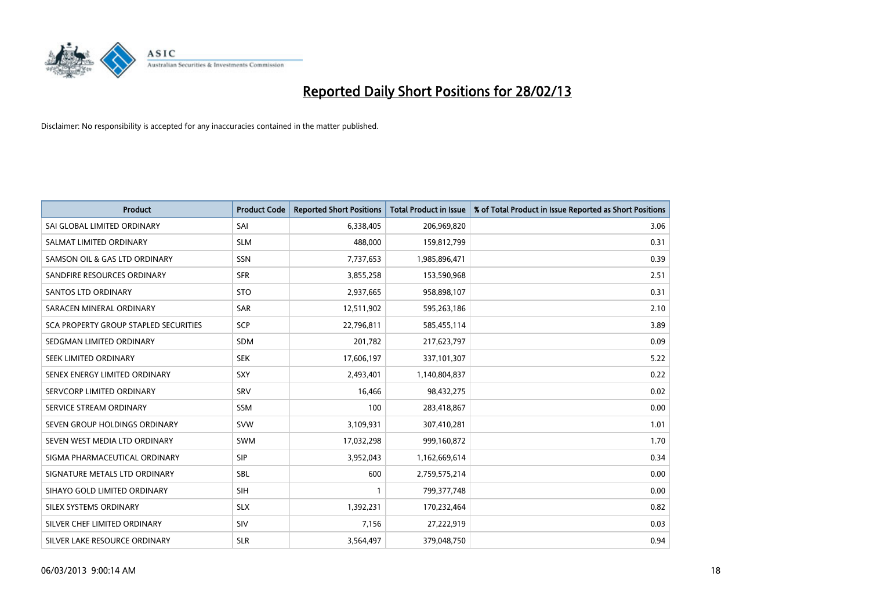

| <b>Product</b>                        | <b>Product Code</b> | <b>Reported Short Positions</b> | <b>Total Product in Issue</b> | % of Total Product in Issue Reported as Short Positions |
|---------------------------------------|---------------------|---------------------------------|-------------------------------|---------------------------------------------------------|
| SAI GLOBAL LIMITED ORDINARY           | SAI                 | 6,338,405                       | 206,969,820                   | 3.06                                                    |
| SALMAT LIMITED ORDINARY               | <b>SLM</b>          | 488,000                         | 159,812,799                   | 0.31                                                    |
| SAMSON OIL & GAS LTD ORDINARY         | <b>SSN</b>          | 7,737,653                       | 1,985,896,471                 | 0.39                                                    |
| SANDFIRE RESOURCES ORDINARY           | <b>SFR</b>          | 3,855,258                       | 153,590,968                   | 2.51                                                    |
| <b>SANTOS LTD ORDINARY</b>            | <b>STO</b>          | 2,937,665                       | 958,898,107                   | 0.31                                                    |
| SARACEN MINERAL ORDINARY              | <b>SAR</b>          | 12,511,902                      | 595,263,186                   | 2.10                                                    |
| SCA PROPERTY GROUP STAPLED SECURITIES | <b>SCP</b>          | 22,796,811                      | 585,455,114                   | 3.89                                                    |
| SEDGMAN LIMITED ORDINARY              | SDM                 | 201,782                         | 217,623,797                   | 0.09                                                    |
| SEEK LIMITED ORDINARY                 | <b>SEK</b>          | 17,606,197                      | 337,101,307                   | 5.22                                                    |
| SENEX ENERGY LIMITED ORDINARY         | SXY                 | 2,493,401                       | 1,140,804,837                 | 0.22                                                    |
| SERVCORP LIMITED ORDINARY             | SRV                 | 16,466                          | 98,432,275                    | 0.02                                                    |
| SERVICE STREAM ORDINARY               | <b>SSM</b>          | 100                             | 283,418,867                   | 0.00                                                    |
| SEVEN GROUP HOLDINGS ORDINARY         | <b>SVW</b>          | 3,109,931                       | 307,410,281                   | 1.01                                                    |
| SEVEN WEST MEDIA LTD ORDINARY         | SWM                 | 17,032,298                      | 999,160,872                   | 1.70                                                    |
| SIGMA PHARMACEUTICAL ORDINARY         | <b>SIP</b>          | 3,952,043                       | 1,162,669,614                 | 0.34                                                    |
| SIGNATURE METALS LTD ORDINARY         | SBL                 | 600                             | 2,759,575,214                 | 0.00                                                    |
| SIHAYO GOLD LIMITED ORDINARY          | SIH                 | $\mathbf{1}$                    | 799, 377, 748                 | 0.00                                                    |
| SILEX SYSTEMS ORDINARY                | <b>SLX</b>          | 1,392,231                       | 170,232,464                   | 0.82                                                    |
| SILVER CHEF LIMITED ORDINARY          | SIV                 | 7,156                           | 27,222,919                    | 0.03                                                    |
| SILVER LAKE RESOURCE ORDINARY         | <b>SLR</b>          | 3,564,497                       | 379,048,750                   | 0.94                                                    |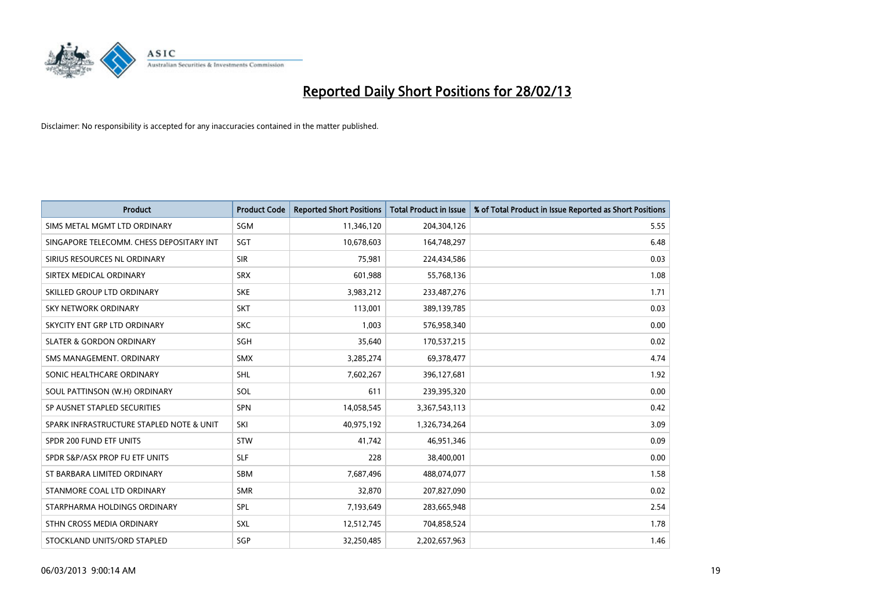

| <b>Product</b>                           | <b>Product Code</b> | <b>Reported Short Positions</b> | <b>Total Product in Issue</b> | % of Total Product in Issue Reported as Short Positions |
|------------------------------------------|---------------------|---------------------------------|-------------------------------|---------------------------------------------------------|
| SIMS METAL MGMT LTD ORDINARY             | SGM                 | 11,346,120                      | 204,304,126                   | 5.55                                                    |
| SINGAPORE TELECOMM. CHESS DEPOSITARY INT | SGT                 | 10,678,603                      | 164,748,297                   | 6.48                                                    |
| SIRIUS RESOURCES NL ORDINARY             | <b>SIR</b>          | 75,981                          | 224,434,586                   | 0.03                                                    |
| SIRTEX MEDICAL ORDINARY                  | <b>SRX</b>          | 601,988                         | 55,768,136                    | 1.08                                                    |
| SKILLED GROUP LTD ORDINARY               | <b>SKE</b>          | 3,983,212                       | 233,487,276                   | 1.71                                                    |
| <b>SKY NETWORK ORDINARY</b>              | <b>SKT</b>          | 113,001                         | 389,139,785                   | 0.03                                                    |
| SKYCITY ENT GRP LTD ORDINARY             | <b>SKC</b>          | 1,003                           | 576,958,340                   | 0.00                                                    |
| <b>SLATER &amp; GORDON ORDINARY</b>      | SGH                 | 35,640                          | 170,537,215                   | 0.02                                                    |
| SMS MANAGEMENT. ORDINARY                 | <b>SMX</b>          | 3,285,274                       | 69,378,477                    | 4.74                                                    |
| SONIC HEALTHCARE ORDINARY                | <b>SHL</b>          | 7,602,267                       | 396,127,681                   | 1.92                                                    |
| SOUL PATTINSON (W.H) ORDINARY            | <b>SOL</b>          | 611                             | 239,395,320                   | 0.00                                                    |
| SP AUSNET STAPLED SECURITIES             | SPN                 | 14,058,545                      | 3,367,543,113                 | 0.42                                                    |
| SPARK INFRASTRUCTURE STAPLED NOTE & UNIT | SKI                 | 40,975,192                      | 1,326,734,264                 | 3.09                                                    |
| SPDR 200 FUND ETF UNITS                  | <b>STW</b>          | 41.742                          | 46,951,346                    | 0.09                                                    |
| SPDR S&P/ASX PROP FU ETF UNITS           | <b>SLF</b>          | 228                             | 38,400,001                    | 0.00                                                    |
| ST BARBARA LIMITED ORDINARY              | <b>SBM</b>          | 7,687,496                       | 488,074,077                   | 1.58                                                    |
| STANMORE COAL LTD ORDINARY               | <b>SMR</b>          | 32,870                          | 207,827,090                   | 0.02                                                    |
| STARPHARMA HOLDINGS ORDINARY             | <b>SPL</b>          | 7,193,649                       | 283,665,948                   | 2.54                                                    |
| STHN CROSS MEDIA ORDINARY                | <b>SXL</b>          | 12,512,745                      | 704,858,524                   | 1.78                                                    |
| STOCKLAND UNITS/ORD STAPLED              | SGP                 | 32,250,485                      | 2,202,657,963                 | 1.46                                                    |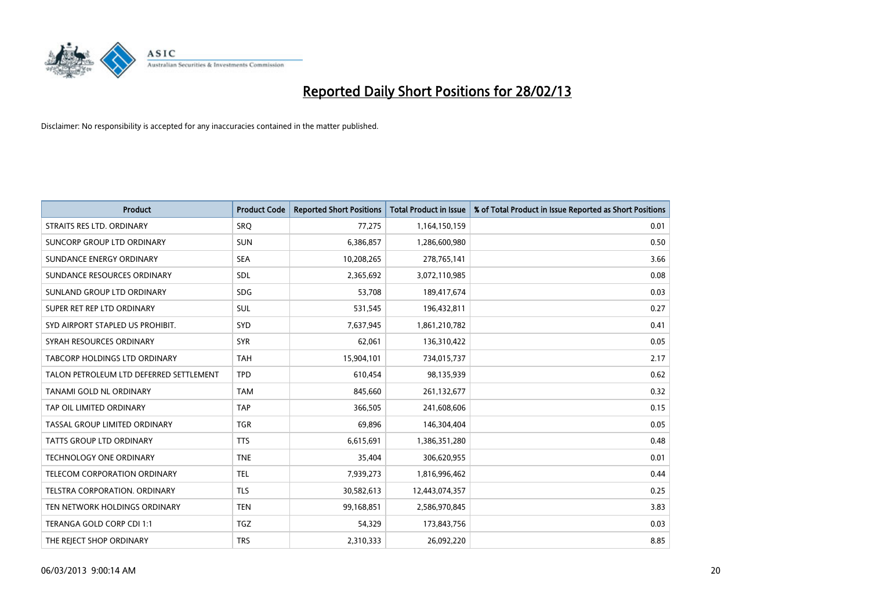

| <b>Product</b>                          | <b>Product Code</b> | <b>Reported Short Positions</b> | <b>Total Product in Issue</b> | % of Total Product in Issue Reported as Short Positions |
|-----------------------------------------|---------------------|---------------------------------|-------------------------------|---------------------------------------------------------|
| STRAITS RES LTD. ORDINARY               | <b>SRO</b>          | 77,275                          | 1,164,150,159                 | 0.01                                                    |
| SUNCORP GROUP LTD ORDINARY              | <b>SUN</b>          | 6,386,857                       | 1,286,600,980                 | 0.50                                                    |
| SUNDANCE ENERGY ORDINARY                | <b>SEA</b>          | 10,208,265                      | 278,765,141                   | 3.66                                                    |
| SUNDANCE RESOURCES ORDINARY             | SDL                 | 2,365,692                       | 3,072,110,985                 | 0.08                                                    |
| SUNLAND GROUP LTD ORDINARY              | <b>SDG</b>          | 53,708                          | 189,417,674                   | 0.03                                                    |
| SUPER RET REP LTD ORDINARY              | <b>SUL</b>          | 531,545                         | 196,432,811                   | 0.27                                                    |
| SYD AIRPORT STAPLED US PROHIBIT.        | <b>SYD</b>          | 7,637,945                       | 1,861,210,782                 | 0.41                                                    |
| SYRAH RESOURCES ORDINARY                | <b>SYR</b>          | 62,061                          | 136,310,422                   | 0.05                                                    |
| TABCORP HOLDINGS LTD ORDINARY           | <b>TAH</b>          | 15,904,101                      | 734,015,737                   | 2.17                                                    |
| TALON PETROLEUM LTD DEFERRED SETTLEMENT | <b>TPD</b>          | 610,454                         | 98,135,939                    | 0.62                                                    |
| TANAMI GOLD NL ORDINARY                 | <b>TAM</b>          | 845,660                         | 261,132,677                   | 0.32                                                    |
| TAP OIL LIMITED ORDINARY                | <b>TAP</b>          | 366,505                         | 241,608,606                   | 0.15                                                    |
| TASSAL GROUP LIMITED ORDINARY           | <b>TGR</b>          | 69,896                          | 146,304,404                   | 0.05                                                    |
| <b>TATTS GROUP LTD ORDINARY</b>         | <b>TTS</b>          | 6,615,691                       | 1,386,351,280                 | 0.48                                                    |
| <b>TECHNOLOGY ONE ORDINARY</b>          | <b>TNE</b>          | 35,404                          | 306,620,955                   | 0.01                                                    |
| TELECOM CORPORATION ORDINARY            | <b>TEL</b>          | 7,939,273                       | 1,816,996,462                 | 0.44                                                    |
| TELSTRA CORPORATION. ORDINARY           | <b>TLS</b>          | 30,582,613                      | 12,443,074,357                | 0.25                                                    |
| TEN NETWORK HOLDINGS ORDINARY           | <b>TEN</b>          | 99,168,851                      | 2,586,970,845                 | 3.83                                                    |
| TERANGA GOLD CORP CDI 1:1               | <b>TGZ</b>          | 54,329                          | 173,843,756                   | 0.03                                                    |
| THE REJECT SHOP ORDINARY                | <b>TRS</b>          | 2,310,333                       | 26,092,220                    | 8.85                                                    |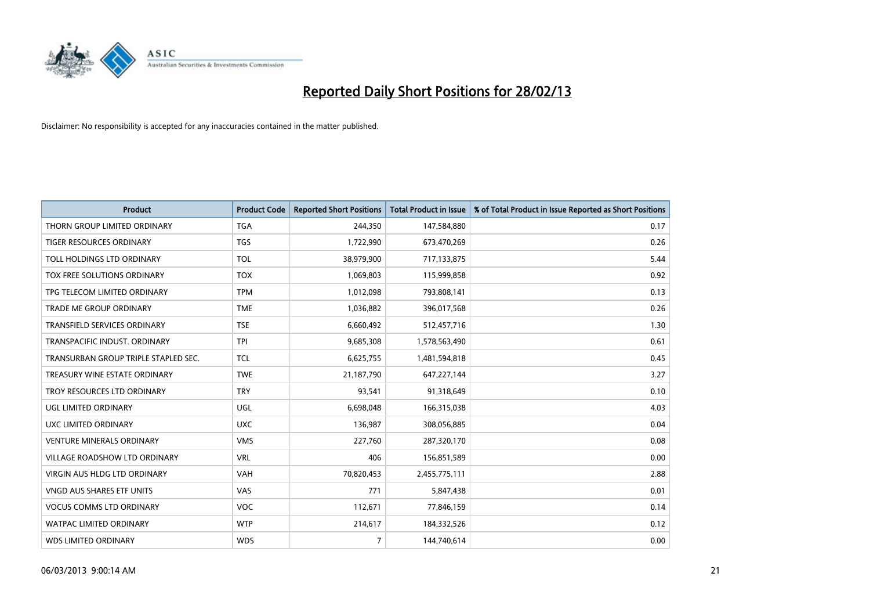

| <b>Product</b>                       | <b>Product Code</b> | <b>Reported Short Positions</b> | <b>Total Product in Issue</b> | % of Total Product in Issue Reported as Short Positions |
|--------------------------------------|---------------------|---------------------------------|-------------------------------|---------------------------------------------------------|
| THORN GROUP LIMITED ORDINARY         | <b>TGA</b>          | 244,350                         | 147,584,880                   | 0.17                                                    |
| TIGER RESOURCES ORDINARY             | <b>TGS</b>          | 1,722,990                       | 673,470,269                   | 0.26                                                    |
| TOLL HOLDINGS LTD ORDINARY           | <b>TOL</b>          | 38,979,900                      | 717,133,875                   | 5.44                                                    |
| TOX FREE SOLUTIONS ORDINARY          | <b>TOX</b>          | 1,069,803                       | 115,999,858                   | 0.92                                                    |
| TPG TELECOM LIMITED ORDINARY         | <b>TPM</b>          | 1,012,098                       | 793,808,141                   | 0.13                                                    |
| <b>TRADE ME GROUP ORDINARY</b>       | <b>TME</b>          | 1,036,882                       | 396,017,568                   | 0.26                                                    |
| <b>TRANSFIELD SERVICES ORDINARY</b>  | <b>TSE</b>          | 6,660,492                       | 512,457,716                   | 1.30                                                    |
| TRANSPACIFIC INDUST, ORDINARY        | <b>TPI</b>          | 9,685,308                       | 1,578,563,490                 | 0.61                                                    |
| TRANSURBAN GROUP TRIPLE STAPLED SEC. | <b>TCL</b>          | 6,625,755                       | 1,481,594,818                 | 0.45                                                    |
| TREASURY WINE ESTATE ORDINARY        | <b>TWE</b>          | 21,187,790                      | 647,227,144                   | 3.27                                                    |
| TROY RESOURCES LTD ORDINARY          | <b>TRY</b>          | 93,541                          | 91,318,649                    | 0.10                                                    |
| UGL LIMITED ORDINARY                 | UGL                 | 6,698,048                       | 166,315,038                   | 4.03                                                    |
| UXC LIMITED ORDINARY                 | <b>UXC</b>          | 136,987                         | 308,056,885                   | 0.04                                                    |
| <b>VENTURE MINERALS ORDINARY</b>     | <b>VMS</b>          | 227,760                         | 287,320,170                   | 0.08                                                    |
| <b>VILLAGE ROADSHOW LTD ORDINARY</b> | <b>VRL</b>          | 406                             | 156,851,589                   | 0.00                                                    |
| <b>VIRGIN AUS HLDG LTD ORDINARY</b>  | VAH                 | 70,820,453                      | 2,455,775,111                 | 2.88                                                    |
| VNGD AUS SHARES ETF UNITS            | <b>VAS</b>          | 771                             | 5,847,438                     | 0.01                                                    |
| <b>VOCUS COMMS LTD ORDINARY</b>      | <b>VOC</b>          | 112,671                         | 77,846,159                    | 0.14                                                    |
| <b>WATPAC LIMITED ORDINARY</b>       | <b>WTP</b>          | 214,617                         | 184,332,526                   | 0.12                                                    |
| <b>WDS LIMITED ORDINARY</b>          | <b>WDS</b>          | $\overline{7}$                  | 144,740,614                   | 0.00                                                    |